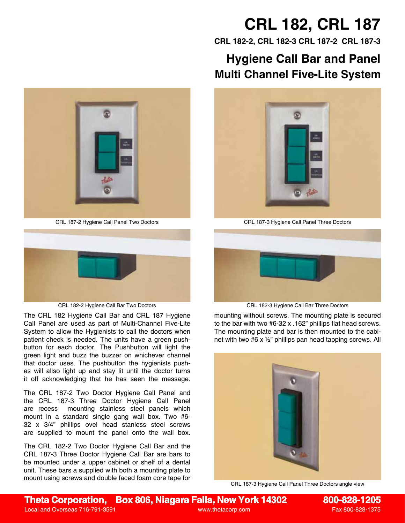## **CRL 182, CRL 187**

**CRL 182-2, CRL 182-3 CRL 187-2 CRL 187-3**

## **Multi Channel Five-Lite System Hygiene Call Bar and Panel**





The CRL 182 Hygiene Call Bar and CRL 187 Hygiene Call Panel are used as part of Multi-Channel Five-Lite System to allow the Hygienists to call the doctors when patient check is needed. The units have a green pushbutton for each doctor. The Pushbutton will light the green light and buzz the buzzer on whichever channel that doctor uses. The pushbutton the hygienists pushes will allso light up and stay lit until the doctor turns it off acknowledging that he has seen the message.

The CRL 187-2 Two Doctor Hygiene Call Panel and the CRL 187-3 Three Doctor Hygiene Call Panel are recess mounting stainless steel panels which mount in a standard single gang wall box. Two #6- 32 x 3/4" phillips ovel head stanless steel screws are supplied to mount the panel onto the wall box.

The CRL 182-2 Two Doctor Hygiene Call Bar and the CRL 187-3 Three Doctor Hygiene Call Bar are bars to be mounted under a upper cabinet or shelf of a dental unit. These bars a supplied with both a mounting plate to mount using screws and double faced foam core tape for



CRL 187-2 Hygiene Call Panel Two Doctors CRL 187-3 Hygiene Call Panel Three Doctors



CRL 182-2 Hygiene Call Bar Two Doctors CRL 182-3 Hygiene Call Bar Three Doctors

mounting without screws. The mounting plate is secured to the bar with two #6-32 x .162" phillips flat head screws. The mounting plate and bar is then mounted to the cabinet with two #6 x  $\frac{1}{2}$ " phillips pan head tapping screws. All



CRL 187-3 Hygiene Call Panel Three Doctors angle view

**Theta Corporation, Box 806, Niagara Falls, New York 14302 800-828-1205**

Local and Overseas 716-791-3591 www.thetacorp.com Fax 800-828-1375